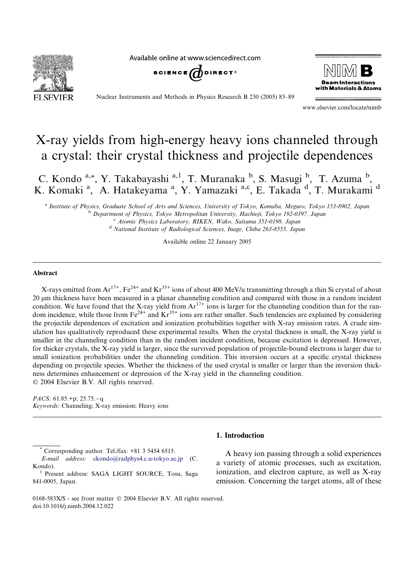Available online at www.sciencedirect.com







Nuclear Instruments and Methods in Physics Research B 230 (2005) 85–89

www.elsevier.com/locate/nimb

# X-ray yields from high-energy heavy ions channeled through a crystal: their crystal thickness and projectile dependences

C. Kondo a,\*, Y. Takabayashi a,1, T. Muranaka b, S. Masugi b, T. Azuma b, K. Komaki<sup>a</sup>, A. Hatakeyama<sup>a</sup>, Y. Yamazaki<sup>a,c</sup>, E. Takada<sup>d</sup>, T. Murakami<sup>d</sup>

<sup>a</sup> Institute of Physics, Graduate School of Arts and Sciences, University of Tokyo, Komaba, Meguro, Tokyo 153-8902, Japan <sup>b</sup> Department of Physics, Tokyo Metropolitan University, Hachioji, Tokyo 192-0397, Japan <sup>c</sup> Atomic Physics Laboratory, RIKEN, Wako, Saitama 351-0198, Japan

<sup>d</sup> National Institute of Radiological Sciences, Inage, Chiba 263-8555, Japan

Available online 22 January 2005

## Abstract

X-rays emitted from  $Ar^{17+}$ , Fe<sup>24+</sup> and  $Kr^{35+}$  ions of about 400 MeV/u transmitting through a thin Si crystal of about 20 lm thickness have been measured in a planar channeling condition and compared with those in a random incident condition. We have found that the X-ray yield from  $Ar^{17+}$  ions is larger for the channeling condition than for the random incidence, while those from  $Fe^{24+}$  and  $Kr^{35+}$  ions are rather smaller. Such tendencies are explained by considering the projectile dependences of excitation and ionization probabilities together with X-ray emission rates. A crude simulation has qualitatively reproduced these experimental results. When the crystal thickness is small, the X-ray yield is smaller in the channeling condition than in the random incident condition, because excitation is depressed. However, for thicker crystals, the X-ray yield is larger, since the survived population of projectile-bound electrons is larger due to small ionization probabilities under the channeling condition. This inversion occurs at a specific crystal thickness depending on projectile species. Whether the thickness of the used crystal is smaller or larger than the inversion thickness determines enhancement or depression of the X-ray yield in the channeling condition. 2004 Elsevier B.V. All rights reserved.

*PACS*:  $61.85.+p$ ;  $25.75.-q$ Keywords: Channeling; X-ray emission; Heavy ions

1. Introduction

Corresponding author. Tel./fax: +81 3 5454 6515. E-mail address: [ckondo@radphys4.c.u-tokyo.ac.jp](mailto:ckondo@radphys4.c.u-tokyo.ac.jp ) (C. Kondo).<br><sup>1</sup> Present address: SAGA LIGHT SOURCE, Tosu, Saga

841-0005, Japan.

A heavy ion passing through a solid experiences a variety of atomic processes, such as excitation, ionization, and electron capture, as well as X-ray emission. Concerning the target atoms, all of these

<sup>0168-583</sup>X/\$ - see front matter © 2004 Elsevier B.V. All rights reserved. doi:10.1016/j.nimb.2004.12.022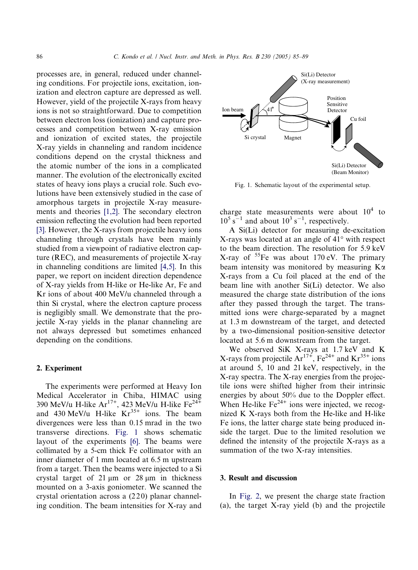processes are, in general, reduced under channeling conditions. For projectile ions, excitation, ionization and electron capture are depressed as well. However, yield of the projectile X-rays from heavy ions is not so straightforward. Due to competition between electron loss (ionization) and capture processes and competition between X-ray emission and ionization of excited states, the projectile X-ray yields in channeling and random incidence conditions depend on the crystal thickness and the atomic number of the ions in a complicated manner. The evolution of the electronically excited states of heavy ions plays a crucial role. Such evolutions have been extensively studied in the case of amorphous targets in projectile X-ray measurements and theories [\[1,2\]](#page-4-0). The secondary electron emission reflecting the evolution had been reported [\[3\].](#page-4-0) However, the X-rays from projectile heavy ions channeling through crystals have been mainly studied from a viewpoint of radiative electron capture (REC), and measurements of projectile X-ray in channeling conditions are limited [\[4,5\]](#page-4-0). In this paper, we report on incident direction dependence of X-ray yields from H-like or He-like Ar, Fe and Kr ions of about 400 MeV/u channeled through a thin Si crystal, where the electron capture process is negligibly small. We demonstrate that the projectile X-ray yields in the planar channeling are not always depressed but sometimes enhanced depending on the conditions.

## 2. Experiment

The experiments were performed at Heavy Ion Medical Accelerator in Chiba, HIMAC using 390 MeV/u H-like  $Ar^{17+}$ , 423 MeV/u H-like Fe<sup>24+</sup> and 430 MeV/u H-like  $Kr^{35+}$  ions. The beam divergences were less than 0.15 mrad in the two transverse directions. Fig. 1 shows schematic layout of the experiments [\[6\]](#page-4-0). The beams were collimated by a 5-cm thick Fe collimator with an inner diameter of 1 mm located at 6.5 m upstream from a target. Then the beams were injected to a Si crystal target of  $21 \mu m$  or  $28 \mu m$  in thickness mounted on a 3-axis goniometer. We scanned the crystal orientation across a (2 2 0) planar channeling condition. The beam intensities for X-ray and



Fig. 1. Schematic layout of the experimental setup.

charge state measurements were about  $10^4$  to  $10^5$  s<sup>-1</sup> and about  $10^3$  s<sup>-1</sup>, respectively.

A Si(Li) detector for measuring de-excitation  $X$ -rays was located at an angle of  $41^{\circ}$  with respect to the beam direction. The resolution for 5.9 keV X-ray of  ${}^{55}Fe$  was about 170 eV. The primary beam intensity was monitored by measuring  $K\alpha$ X-rays from a Cu foil placed at the end of the beam line with another Si(Li) detector. We also measured the charge state distribution of the ions after they passed through the target. The transmitted ions were charge-separated by a magnet at 1.3 m downstream of the target, and detected by a two-dimensional position-sensitive detector located at 5.6 m downstream from the target.

We observed SiK X-rays at 1.7 keV and K X-rays from projectile  $Ar^{17+}$ ,  $Fe^{24+}$  and  $Kr^{35+}$  ions at around 5, 10 and 21 keV, respectively, in the X-ray spectra. The X-ray energies from the projectile ions were shifted higher from their intrinsic energies by about 50% due to the Doppler effect. When He-like  $Fe<sup>24+</sup>$  ions were injected, we recognized K X-rays both from the He-like and H-like Fe ions, the latter charge state being produced inside the target. Due to the limited resolution we defined the intensity of the projectile X-rays as a summation of the two X-ray intensities.

## 3. Result and discussion

In [Fig. 2,](#page-2-0) we present the charge state fraction (a), the target X-ray yield (b) and the projectile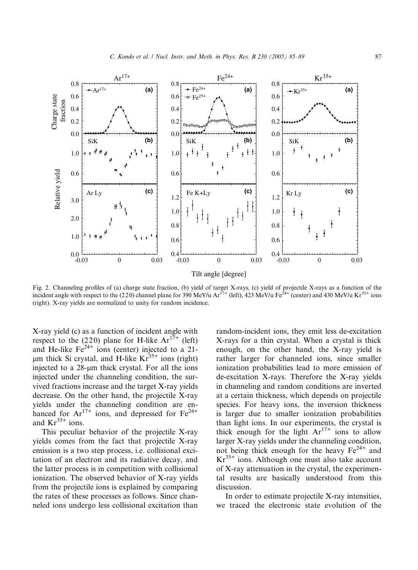<span id="page-2-0"></span>

Fig. 2. Channeling profiles of (a) charge state fraction, (b) yield of target X-rays, (c) yield of projectile X-rays as a function of the incident angle with respect to the (220) channel plane for 390 MeV/u  $Ar^{17+}$  (left), 423 MeV/u Fe<sup>24+</sup> (center) and 430 MeV/u Kr<sup>35+</sup> ions (right). X-ray yields are normalized to unity for random incidence.

X-ray yield (c) as a function of incident angle with respect to the (220) plane for H-like  $Ar^{17+}$  (left) and He-like  $Fe<sup>24+</sup>$  ions (center) injected to a 21- $\mu$ m thick Si crystal, and H-like Kr<sup>35+</sup> ions (right) injected to a  $28$ -µm thick crystal. For all the ions injected under the channeling condition, the survived fractions increase and the target X-ray yields decrease. On the other hand, the projectile X-ray yields under the channeling condition are enhanced for  $Ar^{17+}$  ions, and depressed for  $Fe^{24+}$ and  $Kr^{35+}$  ions.

This peculiar behavior of the projectile X-ray yields comes from the fact that projectile X-ray emission is a two step process, i.e. collisional excitation of an electron and its radiative decay, and the latter process is in competition with collisional ionization. The observed behavior of X-ray yields from the projectile ions is explained by comparing the rates of these processes as follows. Since channeled ions undergo less collisional excitation than

random-incident ions, they emit less de-excitation X-rays for a thin crystal. When a crystal is thick enough, on the other hand, the X-ray yield is rather larger for channeled ions, since smaller ionization probabilities lead to more emission of de-excitation X-rays. Therefore the X-ray yields in channeling and random conditions are inverted at a certain thickness, which depends on projectile species. For heavy ions, the inversion thickness is larger due to smaller ionization probabilities than light ions. In our experiments, the crystal is thick enough for the light  $Ar^{17+}$  ions to allow larger X-ray yields under the channeling condition, not being thick enough for the heavy  $Fe^{24+}$  and  $Kr<sup>35+</sup>$  ions. Although one must also take account of X-ray attenuation in the crystal, the experimental results are basically understood from this discussion.

In order to estimate projectile X-ray intensities, we traced the electronic state evolution of the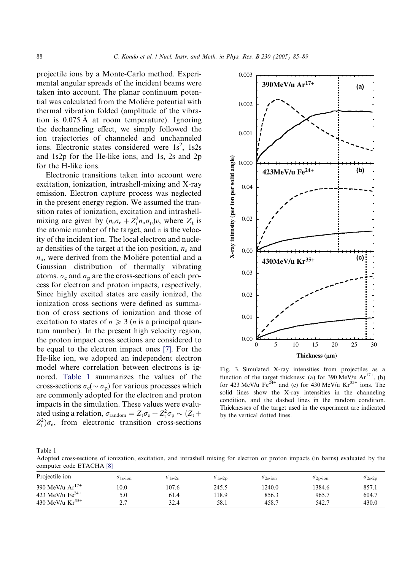<span id="page-3-0"></span>projectile ions by a Monte-Carlo method. Experimental angular spreads of the incident beams were taken into account. The planar continuum potential was calculated from the Moliére potential with thermal vibration folded (amplitude of the vibration is  $0.075 \text{ Å}$  at room temperature). Ignoring the dechanneling effect, we simply followed the ion trajectories of channeled and unchanneled ions. Electronic states considered were  $1s^2$ ,  $1s2s$ and 1s2p for the He-like ions, and 1s, 2s and 2p for the H-like ions.

Electronic transitions taken into account were excitation, ionization, intrashell-mixing and X-ray emission. Electron capture process was neglected in the present energy region. We assumed the transition rates of ionization, excitation and intrashellmixing are given by  $(n_e \sigma_e + Z_t^2 n_n \sigma_p)v$ , where  $Z_t$  is the atomic number of the target, and  $v$  is the velocity of the incident ion. The local electron and nuclear densities of the target at the ion position,  $n_e$  and  $n_n$ , were derived from the Moliére potential and a Gaussian distribution of thermally vibrating atoms.  $\sigma_e$  and  $\sigma_p$  are the cross-sections of each process for electron and proton impacts, respectively. Since highly excited states are easily ionized, the ionization cross sections were defined as summation of cross sections of ionization and those of excitation to states of  $n \geq 3$  (*n* is a principal quantum number). In the present high velocity region, the proton impact cross sections are considered to be equal to the electron impact ones [\[7\].](#page-4-0) For the He-like ion, we adopted an independent electron model where correlation between electrons is ignored. Table 1 summarizes the values of the cross-sections  $\sigma_{\rm e} (\sim \sigma_{\rm p})$  for various processes which are commonly adopted for the electron and proton impacts in the simulation. These values were evaluated using a relation,  $\sigma_{\text{random}} = Z_{\text{t}} \sigma_{\text{e}} + Z_{\text{t}}^2 \sigma_{\text{p}} \sim (Z_{\text{t}} +$  $Z_t^2/\sigma_e$ , from electronic transition cross-sections



Fig. 3. Simulated X-ray intensities from projectiles as a function of the target thickness: (a) for 390 MeV/u  $Ar^{17+}$ , (b) for 423 MeV/u Fe<sup>24+</sup> and (c) for 430 MeV/u Kr<sup>35+</sup> ions. The solid lines show the X-ray intensities in the channeling condition, and the dashed lines in the random condition. Thicknesses of the target used in the experiment are indicated by the vertical dotted lines.

Table 1

Adopted cross-sections of ionization, excitation, and intrashell mixing for electron or proton impacts (in barns) evaluated by the computer code ETACHA [\[8\]](#page-4-0)

| Projectile ion              | $\sigma_{1\,\mathrm{s\text{-ion}}}$ | $\sigma_{1s-2s}$ | $\sigma_{1s-2p}$ | $\sigma_{2\text{s-ion}}$ | $\sigma_{\rm 2p-ion}$ | $\sigma_{2s-2p}$ |
|-----------------------------|-------------------------------------|------------------|------------------|--------------------------|-----------------------|------------------|
| 390 MeV/u Ar <sup>17+</sup> | 0.0                                 | 107.6            | 245.5            | 240.0                    | 1384.6                | 857.1            |
| 423 MeV/u $Fe^{24+}$        | 5.0                                 | 61.4             | 18.9             | 856.3                    | 965.7                 | 604.7            |
| 430 MeV/u $Kr^{35+}$        | $\gamma$<br><u>.</u>                | 32.4             | 58.1             | 458.7                    | 542.7                 | 430.0            |